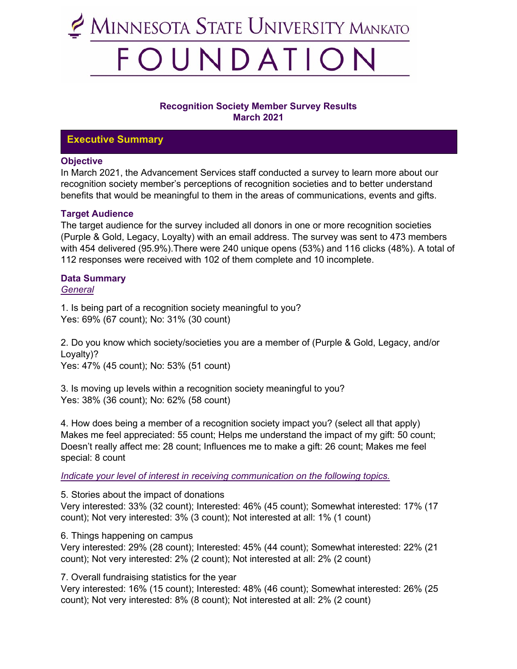

## **Recognition Society Member Survey Results March 2021**

## **Executive Summary**

### **Objective**

In March 2021, the Advancement Services staff conducted a survey to learn more about our recognition society member's perceptions of recognition societies and to better understand benefits that would be meaningful to them in the areas of communications, events and gifts.

## **Target Audience**

The target audience for the survey included all donors in one or more recognition societies (Purple & Gold, Legacy, Loyalty) with an email address. The survey was sent to 473 members with 454 delivered (95.9%).There were 240 unique opens (53%) and 116 clicks (48%). A total of 112 responses were received with 102 of them complete and 10 incomplete.

# **Data Summary**

*General*

1. Is being part of a recognition society meaningful to you? Yes: 69% (67 count); No: 31% (30 count)

2. Do you know which society/societies you are a member of (Purple & Gold, Legacy, and/or Loyalty)?

Yes: 47% (45 count); No: 53% (51 count)

3. Is moving up levels within a recognition society meaningful to you? Yes: 38% (36 count); No: 62% (58 count)

4. How does being a member of a recognition society impact you? (select all that apply) Makes me feel appreciated: 55 count; Helps me understand the impact of my gift: 50 count; Doesn't really affect me: 28 count; Influences me to make a gift: 26 count; Makes me feel special: 8 count

*Indicate your level of interest in receiving communication on the following topics.*

5. Stories about the impact of donations

Very interested: 33% (32 count); Interested: 46% (45 count); Somewhat interested: 17% (17 count); Not very interested: 3% (3 count); Not interested at all: 1% (1 count)

6. Things happening on campus

Very interested: 29% (28 count); Interested: 45% (44 count); Somewhat interested: 22% (21 count); Not very interested: 2% (2 count); Not interested at all: 2% (2 count)

7. Overall fundraising statistics for the year

Very interested: 16% (15 count); Interested: 48% (46 count); Somewhat interested: 26% (25 count); Not very interested: 8% (8 count); Not interested at all: 2% (2 count)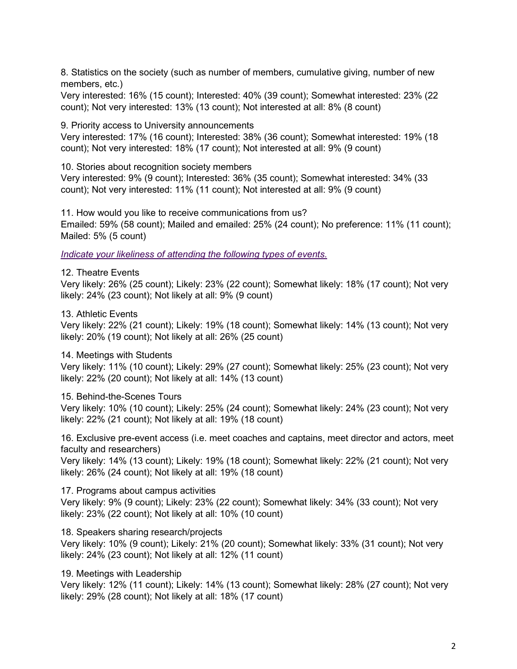8. Statistics on the society (such as number of members, cumulative giving, number of new members, etc.)

Very interested: 16% (15 count); Interested: 40% (39 count); Somewhat interested: 23% (22 count); Not very interested: 13% (13 count); Not interested at all: 8% (8 count)

9. Priority access to University announcements

Very interested: 17% (16 count); Interested: 38% (36 count); Somewhat interested: 19% (18 count); Not very interested: 18% (17 count); Not interested at all: 9% (9 count)

10. Stories about recognition society members

Very interested: 9% (9 count); Interested: 36% (35 count); Somewhat interested: 34% (33 count); Not very interested: 11% (11 count); Not interested at all: 9% (9 count)

11. How would you like to receive communications from us? Emailed: 59% (58 count); Mailed and emailed: 25% (24 count); No preference: 11% (11 count); Mailed: 5% (5 count)

*Indicate your likeliness of attending the following types of events.*

12. Theatre Events

Very likely: 26% (25 count); Likely: 23% (22 count); Somewhat likely: 18% (17 count); Not very likely: 24% (23 count); Not likely at all: 9% (9 count)

13. Athletic Events

Very likely: 22% (21 count); Likely: 19% (18 count); Somewhat likely: 14% (13 count); Not very likely: 20% (19 count); Not likely at all: 26% (25 count)

#### 14. Meetings with Students

Very likely: 11% (10 count); Likely: 29% (27 count); Somewhat likely: 25% (23 count); Not very likely: 22% (20 count); Not likely at all: 14% (13 count)

15. Behind-the-Scenes Tours

Very likely: 10% (10 count); Likely: 25% (24 count); Somewhat likely: 24% (23 count); Not very likely: 22% (21 count); Not likely at all: 19% (18 count)

16. Exclusive pre-event access (i.e. meet coaches and captains, meet director and actors, meet faculty and researchers)

Very likely: 14% (13 count); Likely: 19% (18 count); Somewhat likely: 22% (21 count); Not very likely: 26% (24 count); Not likely at all: 19% (18 count)

17. Programs about campus activities

Very likely: 9% (9 count); Likely: 23% (22 count); Somewhat likely: 34% (33 count); Not very likely: 23% (22 count); Not likely at all: 10% (10 count)

18. Speakers sharing research/projects

Very likely: 10% (9 count); Likely: 21% (20 count); Somewhat likely: 33% (31 count); Not very likely: 24% (23 count); Not likely at all: 12% (11 count)

19. Meetings with Leadership

Very likely: 12% (11 count); Likely: 14% (13 count); Somewhat likely: 28% (27 count); Not very likely: 29% (28 count); Not likely at all: 18% (17 count)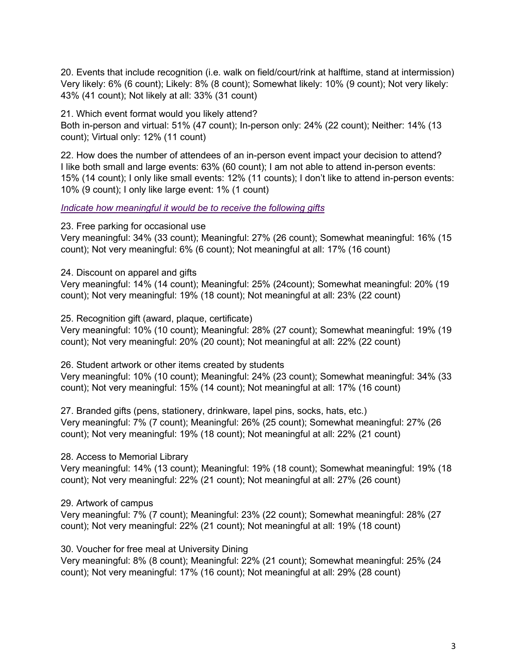20. Events that include recognition (i.e. walk on field/court/rink at halftime, stand at intermission) Very likely: 6% (6 count); Likely: 8% (8 count); Somewhat likely: 10% (9 count); Not very likely: 43% (41 count); Not likely at all: 33% (31 count)

21. Which event format would you likely attend? Both in-person and virtual: 51% (47 count); In-person only: 24% (22 count); Neither: 14% (13 count); Virtual only: 12% (11 count)

22. How does the number of attendees of an in-person event impact your decision to attend? I like both small and large events: 63% (60 count); I am not able to attend in-person events: 15% (14 count); I only like small events: 12% (11 counts); I don't like to attend in-person events: 10% (9 count); I only like large event: 1% (1 count)

*Indicate how meaningful it would be to receive the following gifts*

23. Free parking for occasional use

Very meaningful: 34% (33 count); Meaningful: 27% (26 count); Somewhat meaningful: 16% (15 count); Not very meaningful: 6% (6 count); Not meaningful at all: 17% (16 count)

24. Discount on apparel and gifts

Very meaningful: 14% (14 count); Meaningful: 25% (24count); Somewhat meaningful: 20% (19 count); Not very meaningful: 19% (18 count); Not meaningful at all: 23% (22 count)

25. Recognition gift (award, plaque, certificate)

Very meaningful: 10% (10 count); Meaningful: 28% (27 count); Somewhat meaningful: 19% (19 count); Not very meaningful: 20% (20 count); Not meaningful at all: 22% (22 count)

26. Student artwork or other items created by students

Very meaningful: 10% (10 count); Meaningful: 24% (23 count); Somewhat meaningful: 34% (33 count); Not very meaningful: 15% (14 count); Not meaningful at all: 17% (16 count)

27. Branded gifts (pens, stationery, drinkware, lapel pins, socks, hats, etc.) Very meaningful: 7% (7 count); Meaningful: 26% (25 count); Somewhat meaningful: 27% (26 count); Not very meaningful: 19% (18 count); Not meaningful at all: 22% (21 count)

28. Access to Memorial Library

Very meaningful: 14% (13 count); Meaningful: 19% (18 count); Somewhat meaningful: 19% (18 count); Not very meaningful: 22% (21 count); Not meaningful at all: 27% (26 count)

## 29. Artwork of campus

Very meaningful: 7% (7 count); Meaningful: 23% (22 count); Somewhat meaningful: 28% (27 count); Not very meaningful: 22% (21 count); Not meaningful at all: 19% (18 count)

30. Voucher for free meal at University Dining

Very meaningful: 8% (8 count); Meaningful: 22% (21 count); Somewhat meaningful: 25% (24 count); Not very meaningful: 17% (16 count); Not meaningful at all: 29% (28 count)